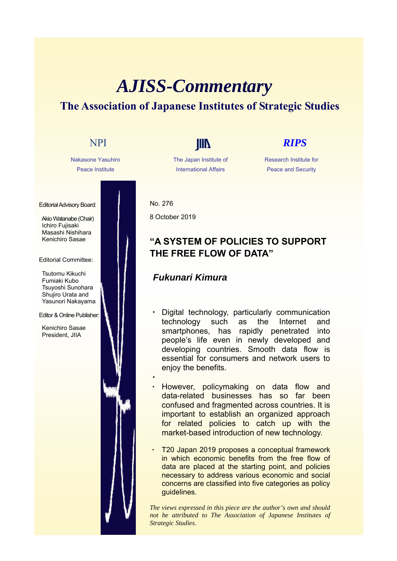# *AJISS-Commentary* **The Association of Japanese Institutes of Strategic Studies**



The Japan Institute of International Affairs

#### Research Institute for Peace and Security

No. 276 8 October 2019

・

# **"A SYSTEM OF POLICIES TO SUPPORT THE FREE FLOW OF DATA"**

## *Fukunari Kimura*

- Digital technology, particularly communication technology such as the Internet and smartphones, has rapidly penetrated into people's life even in newly developed and developing countries. Smooth data flow is essential for consumers and network users to enjoy the benefits.
- However, policymaking on data flow and data-related businesses has so far been confused and fragmented across countries. It is important to establish an organized approach for related policies to catch up with the market-based introduction of new technology.
- T20 Japan 2019 proposes a conceptual framework in which economic benefits from the free flow of data are placed at the starting point, and policies necessary to address various economic and social concerns are classified into five categories as policy guidelines.

*The views expressed in this piece are the author's own and should not be attributed to The Association of Japanese Institutes of Strategic Studies.*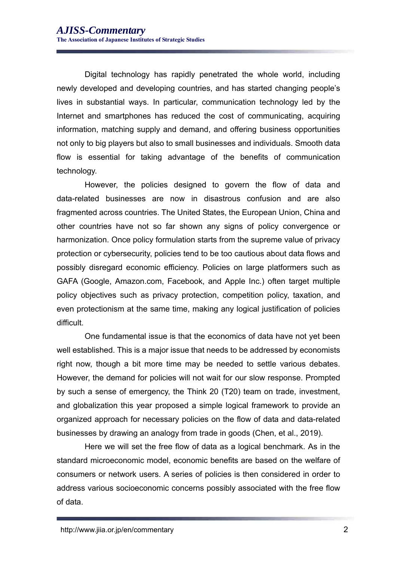Digital technology has rapidly penetrated the whole world, including newly developed and developing countries, and has started changing people's lives in substantial ways. In particular, communication technology led by the Internet and smartphones has reduced the cost of communicating, acquiring information, matching supply and demand, and offering business opportunities not only to big players but also to small businesses and individuals. Smooth data flow is essential for taking advantage of the benefits of communication technology.

However, the policies designed to govern the flow of data and data-related businesses are now in disastrous confusion and are also fragmented across countries. The United States, the European Union, China and other countries have not so far shown any signs of policy convergence or harmonization. Once policy formulation starts from the supreme value of privacy protection or cybersecurity, policies tend to be too cautious about data flows and possibly disregard economic efficiency. Policies on large platformers such as GAFA (Google, Amazon.com, Facebook, and Apple Inc.) often target multiple policy objectives such as privacy protection, competition policy, taxation, and even protectionism at the same time, making any logical justification of policies difficult.

One fundamental issue is that the economics of data have not yet been well established. This is a major issue that needs to be addressed by economists right now, though a bit more time may be needed to settle various debates. However, the demand for policies will not wait for our slow response. Prompted by such a sense of emergency, the Think 20 (T20) team on trade, investment, and globalization this year proposed a simple logical framework to provide an organized approach for necessary policies on the flow of data and data-related businesses by drawing an analogy from trade in goods (Chen, et al., 2019).

Here we will set the free flow of data as a logical benchmark. As in the standard microeconomic model, economic benefits are based on the welfare of consumers or network users. A series of policies is then considered in order to address various socioeconomic concerns possibly associated with the free flow of data.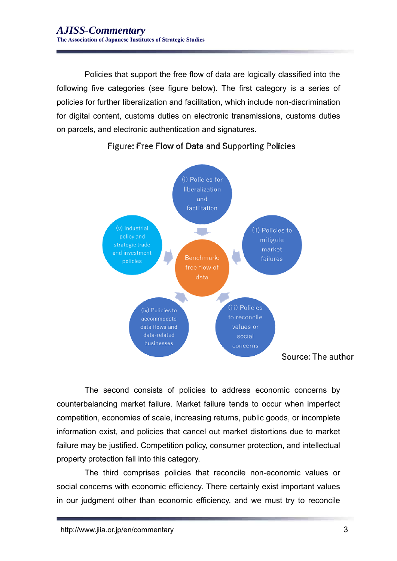Policies that support the free flow of data are logically classified into the following five categories (see figure below). The first category is a series of policies for further liberalization and facilitation, which include non-discrimination for digital content, customs duties on electronic transmissions, customs duties on parcels, and electronic authentication and signatures.



### Figure: Free Flow of Data and Supporting Policies

The second consists of policies to address economic concerns by counterbalancing market failure. Market failure tends to occur when imperfect competition, economies of scale, increasing returns, public goods, or incomplete information exist, and policies that cancel out market distortions due to market failure may be justified. Competition policy, consumer protection, and intellectual property protection fall into this category.

The third comprises policies that reconcile non-economic values or social concerns with economic efficiency. There certainly exist important values in our judgment other than economic efficiency, and we must try to reconcile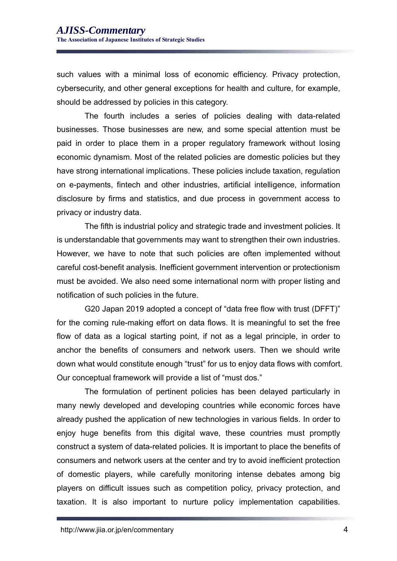such values with a minimal loss of economic efficiency. Privacy protection, cybersecurity, and other general exceptions for health and culture, for example, should be addressed by policies in this category.

The fourth includes a series of policies dealing with data-related businesses. Those businesses are new, and some special attention must be paid in order to place them in a proper regulatory framework without losing economic dynamism. Most of the related policies are domestic policies but they have strong international implications. These policies include taxation, regulation on e-payments, fintech and other industries, artificial intelligence, information disclosure by firms and statistics, and due process in government access to privacy or industry data.

The fifth is industrial policy and strategic trade and investment policies. It is understandable that governments may want to strengthen their own industries. However, we have to note that such policies are often implemented without careful cost-benefit analysis. Inefficient government intervention or protectionism must be avoided. We also need some international norm with proper listing and notification of such policies in the future.

G20 Japan 2019 adopted a concept of "data free flow with trust (DFFT)" for the coming rule-making effort on data flows. It is meaningful to set the free flow of data as a logical starting point, if not as a legal principle, in order to anchor the benefits of consumers and network users. Then we should write down what would constitute enough "trust" for us to enjoy data flows with comfort. Our conceptual framework will provide a list of "must dos."

The formulation of pertinent policies has been delayed particularly in many newly developed and developing countries while economic forces have already pushed the application of new technologies in various fields. In order to enjoy huge benefits from this digital wave, these countries must promptly construct a system of data-related policies. It is important to place the benefits of consumers and network users at the center and try to avoid inefficient protection of domestic players, while carefully monitoring intense debates among big players on difficult issues such as competition policy, privacy protection, and taxation. It is also important to nurture policy implementation capabilities.